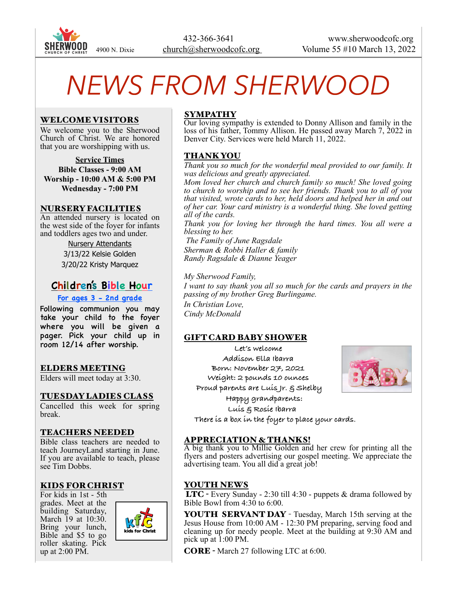

# *NEWS FROM SHERWOOD*

#### WELCOME VISITORS

We welcome you to the Sherwood Church of Christ. We are honored that you are worshipping with us.

**Service Times Bible Classes - 9:00 AM Worship - 10:00 AM & 5:00 PM Wednesday - 7:00 PM**

#### NURSERY FACILITIES

An attended nursery is located on the west side of the foyer for infants and toddlers ages two and under.

> Nursery Attendants 3/13/22 Kelsie Golden 3/20/22 Kristy Marquez

# **Children's Bible Hour**

#### **For ages 3 - 2nd grade**

Following communion you may take your child to the foyer where you will be given a pager. Pick your child up in room 12/14 after worship.

#### ELDERS MEETING

Elders will meet today at 3:30.

#### TUESDAY LADIES CLASS

Cancelled this week for spring break.

## TEACHERS NEEDED

Bible class teachers are needed to teach JourneyLand starting in June. If you are available to teach, please see Tim Dobbs.

## KIDS FOR CHRIST

For kids in 1st - 5th grades. Meet at the building Saturday, March 19 at 10:30. Bring your lunch, Bible and \$5 to go roller skating. Pick up at 2:00 PM.



# **SYMPATHY**

Our loving sympathy is extended to Donny Allison and family in the loss of his father, Tommy Allison. He passed away March 7, 2022 in Denver City. Services were held March 11, 2022.

## THANK YOU

*Thank you so much for the wonderful meal provided to our family. It was delicious and greatly appreciated.*

*Mom loved her church and church family so much! She loved going to church to worship and to see her friends. Thank you to all of you that visited, wrote cards to her, held doors and helped her in and out of her car. Your card ministry is a wonderful thing. She loved getting all of the cards.*

*Thank you for loving her through the hard times. You all were a blessing to her.*

 *The Family of June Ragsdale Sherman & Robbi Haller & family Randy Ragsdale & Dianne Yeager*

*My Sherwood Family, I want to say thank you all so much for the cards and prayers in the passing of my brother Greg Burlingame. In Christian Love, Cindy McDonald*

## GIFT CARD BABY SHOWER

**Let's welcome Addison Ella Ibarra Born: November 27, 2021 Weight: 2 pounds 10 ounces Proud parents are Luis Jr. & Shelby Happy grandparents: Luis & Rosie Ibarra**



 **There is a box in the foyer to place your cards.**

#### APPRECIATION & THANKS!

A big thank you to Millie Golden and her crew for printing all the flyers and posters advertising our gospel meeting. We appreciate the advertising team. You all did a great job!

## YOUTH NEWS

 LTC - Every Sunday - 2:30 till 4:30 - puppets & drama followed by Bible Bowl from 4:30 to 6:00.

YOUTH SERVANT DAY - Tuesday, March 15th serving at the Jesus House from 10:00 AM - 12:30 PM preparing, serving food and cleaning up for needy people. Meet at the building at 9:30 AM and pick up at 1:00 PM.

CORE - March 27 following LTC at 6:00.